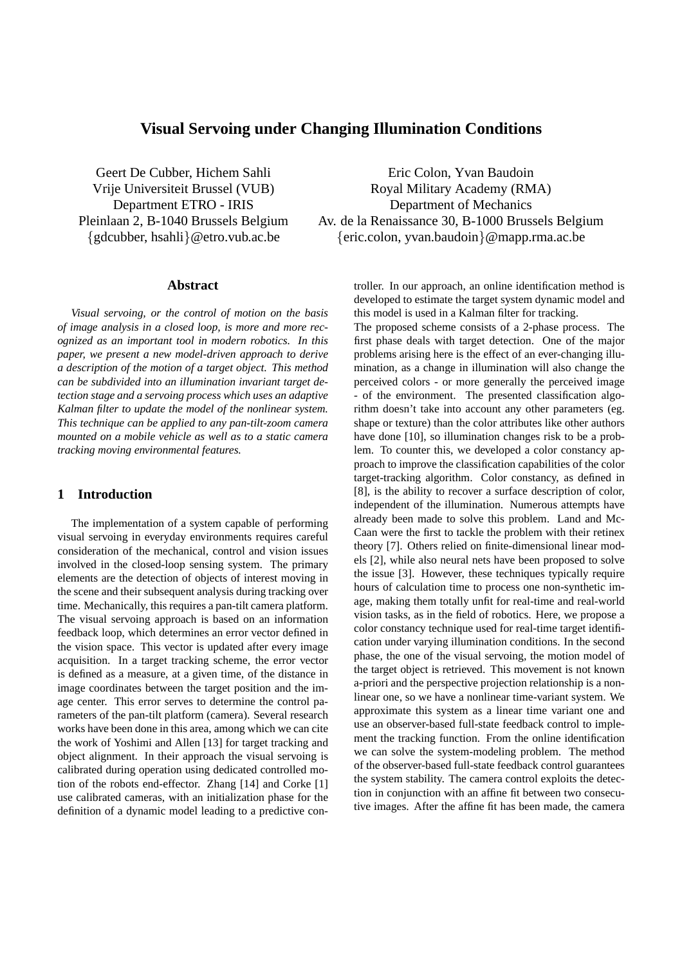# **Visual Servoing under Changing Illumination Conditions**

Geert De Cubber, Hichem Sahli Vrije Universiteit Brussel (VUB) Department ETRO - IRIS Pleinlaan 2, B-1040 Brussels Belgium {gdcubber, hsahli}@etro.vub.ac.be

## **Abstract**

*Visual servoing, or the control of motion on the basis of image analysis in a closed loop, is more and more recognized as an important tool in modern robotics. In this paper, we present a new model-driven approach to derive a description of the motion of a target object. This method can be subdivided into an illumination invariant target detection stage and a servoing process which uses an adaptive Kalman filter to update the model of the nonlinear system. This technique can be applied to any pan-tilt-zoom camera mounted on a mobile vehicle as well as to a static camera tracking moving environmental features.*

## **1 Introduction**

The implementation of a system capable of performing visual servoing in everyday environments requires careful consideration of the mechanical, control and vision issues involved in the closed-loop sensing system. The primary elements are the detection of objects of interest moving in the scene and their subsequent analysis during tracking over time. Mechanically, this requires a pan-tilt camera platform. The visual servoing approach is based on an information feedback loop, which determines an error vector defined in the vision space. This vector is updated after every image acquisition. In a target tracking scheme, the error vector is defined as a measure, at a given time, of the distance in image coordinates between the target position and the image center. This error serves to determine the control parameters of the pan-tilt platform (camera). Several research works have been done in this area, among which we can cite the work of Yoshimi and Allen [13] for target tracking and object alignment. In their approach the visual servoing is calibrated during operation using dedicated controlled motion of the robots end-effector. Zhang [14] and Corke [1] use calibrated cameras, with an initialization phase for the definition of a dynamic model leading to a predictive con-

Eric Colon, Yvan Baudoin Royal Military Academy (RMA) Department of Mechanics Av. de la Renaissance 30, B-1000 Brussels Belgium {eric.colon, yvan.baudoin}@mapp.rma.ac.be

> troller. In our approach, an online identification method is developed to estimate the target system dynamic model and this model is used in a Kalman filter for tracking.

> The proposed scheme consists of a 2-phase process. The first phase deals with target detection. One of the major problems arising here is the effect of an ever-changing illumination, as a change in illumination will also change the perceived colors - or more generally the perceived image - of the environment. The presented classification algorithm doesn't take into account any other parameters (eg. shape or texture) than the color attributes like other authors have done [10], so illumination changes risk to be a problem. To counter this, we developed a color constancy approach to improve the classification capabilities of the color target-tracking algorithm. Color constancy, as defined in [8], is the ability to recover a surface description of color, independent of the illumination. Numerous attempts have already been made to solve this problem. Land and Mc-Caan were the first to tackle the problem with their retinex theory [7]. Others relied on finite-dimensional linear models [2], while also neural nets have been proposed to solve the issue [3]. However, these techniques typically require hours of calculation time to process one non-synthetic image, making them totally unfit for real-time and real-world vision tasks, as in the field of robotics. Here, we propose a color constancy technique used for real-time target identification under varying illumination conditions. In the second phase, the one of the visual servoing, the motion model of the target object is retrieved. This movement is not known a-priori and the perspective projection relationship is a nonlinear one, so we have a nonlinear time-variant system. We approximate this system as a linear time variant one and use an observer-based full-state feedback control to implement the tracking function. From the online identification we can solve the system-modeling problem. The method of the observer-based full-state feedback control guarantees the system stability. The camera control exploits the detection in conjunction with an affine fit between two consecutive images. After the affine fit has been made, the camera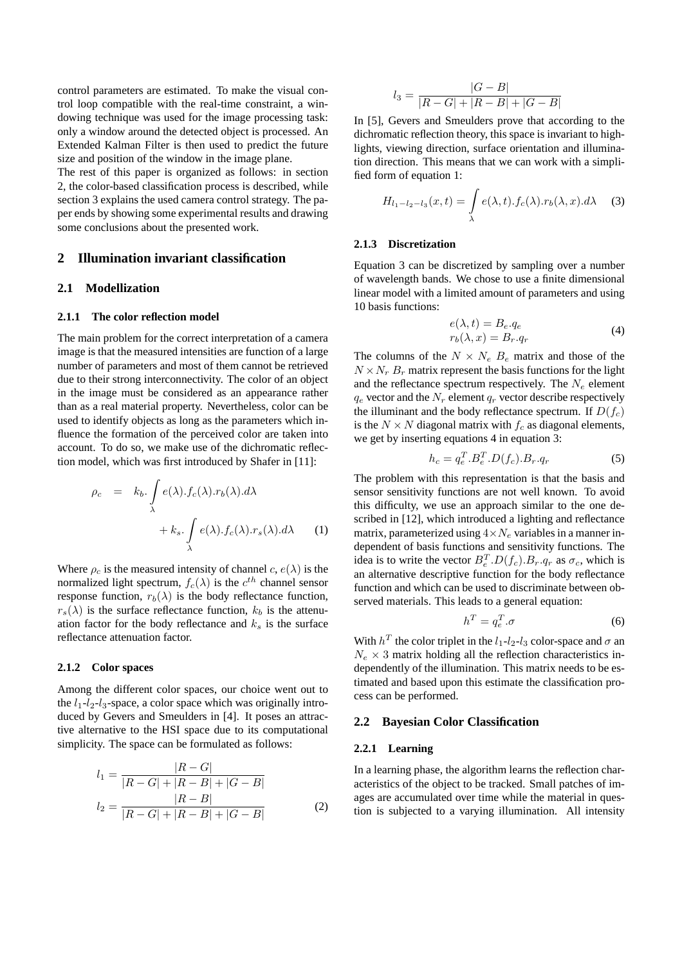control parameters are estimated. To make the visual control loop compatible with the real-time constraint, a windowing technique was used for the image processing task: only a window around the detected object is processed. An Extended Kalman Filter is then used to predict the future size and position of the window in the image plane.

The rest of this paper is organized as follows: in section 2, the color-based classification process is described, while section 3 explains the used camera control strategy. The paper ends by showing some experimental results and drawing some conclusions about the presented work.

## **2 Illumination invariant classification**

## **2.1 Modellization**

#### **2.1.1 The color reflection model**

The main problem for the correct interpretation of a camera image is that the measured intensities are function of a large number of parameters and most of them cannot be retrieved due to their strong interconnectivity. The color of an object in the image must be considered as an appearance rather than as a real material property. Nevertheless, color can be used to identify objects as long as the parameters which influence the formation of the perceived color are taken into account. To do so, we make use of the dichromatic reflection model, which was first introduced by Shafer in [11]:

$$
\rho_c = k_b \int_{\lambda} e(\lambda) . f_c(\lambda) . r_b(\lambda) . d\lambda + k_s \int_{\lambda} e(\lambda) . f_c(\lambda) . r_s(\lambda) . d\lambda \qquad (1)
$$

Where  $\rho_c$  is the measured intensity of channel  $c, e(\lambda)$  is the normalized light spectrum,  $f_c(\lambda)$  is the  $c^{th}$  channel sensor response function,  $r_b(\lambda)$  is the body reflectance function,  $r_s(\lambda)$  is the surface reflectance function,  $k_b$  is the attenuation factor for the body reflectance and  $k_s$  is the surface reflectance attenuation factor.

#### **2.1.2 Color spaces**

Among the different color spaces, our choice went out to the  $l_1-l_2-l_3$ -space, a color space which was originally introduced by Gevers and Smeulders in [4]. It poses an attractive alternative to the HSI space due to its computational simplicity. The space can be formulated as follows:

$$
l_1 = \frac{|R - G|}{|R - G| + |R - B| + |G - B|}
$$
  

$$
l_2 = \frac{|R - B|}{|R - G| + |R - B| + |G - B|}
$$
 (2)

$$
l_3 = \frac{|G - B|}{|R - G| + |R - B| + |G - B|}
$$

In [5], Gevers and Smeulders prove that according to the dichromatic reflection theory, this space is invariant to highlights, viewing direction, surface orientation and illumination direction. This means that we can work with a simplified form of equation 1:

$$
H_{l_1-l_2-l_3}(x,t) = \int_{\lambda} e(\lambda, t) . f_c(\lambda) . r_b(\lambda, x) . d\lambda \quad (3)
$$

#### **2.1.3 Discretization**

Equation 3 can be discretized by sampling over a number of wavelength bands. We chose to use a finite dimensional linear model with a limited amount of parameters and using 10 basis functions:

$$
e(\lambda, t) = B_e \cdot q_e
$$
  
\n
$$
r_b(\lambda, x) = B_r \cdot q_r
$$
\n(4)

The columns of the  $N \times N_e$   $B_e$  matrix and those of the  $N \times N_r$  B<sub>r</sub> matrix represent the basis functions for the light and the reflectance spectrum respectively. The  $N_e$  element  $q_e$  vector and the  $N_r$  element  $q_r$  vector describe respectively the illuminant and the body reflectance spectrum. If  $D(f_c)$ is the  $N \times N$  diagonal matrix with  $f_c$  as diagonal elements, we get by inserting equations 4 in equation 3:

$$
h_c = q_e^T.B_e^T.D(f_c).B_r.q_r \tag{5}
$$

The problem with this representation is that the basis and sensor sensitivity functions are not well known. To avoid this difficulty, we use an approach similar to the one described in [12], which introduced a lighting and reflectance matrix, parameterized using  $4 \times N_e$  variables in a manner independent of basis functions and sensitivity functions. The idea is to write the vector  $B_e^T \cdot D(f_c) \cdot B_r \cdot q_r$  as  $\sigma_c$ , which is an alternative descriptive function for the body reflectance function and which can be used to discriminate between observed materials. This leads to a general equation:

$$
h^T = q_e^T . \sigma \tag{6}
$$

With  $h^T$  the color triplet in the  $l_1-l_2-l_3$  color-space and  $\sigma$  and  $N_e \times 3$  matrix holding all the reflection characteristics independently of the illumination. This matrix needs to be estimated and based upon this estimate the classification process can be performed.

## **2.2 Bayesian Color Classification**

#### **2.2.1 Learning**

In a learning phase, the algorithm learns the reflection characteristics of the object to be tracked. Small patches of images are accumulated over time while the material in question is subjected to a varying illumination. All intensity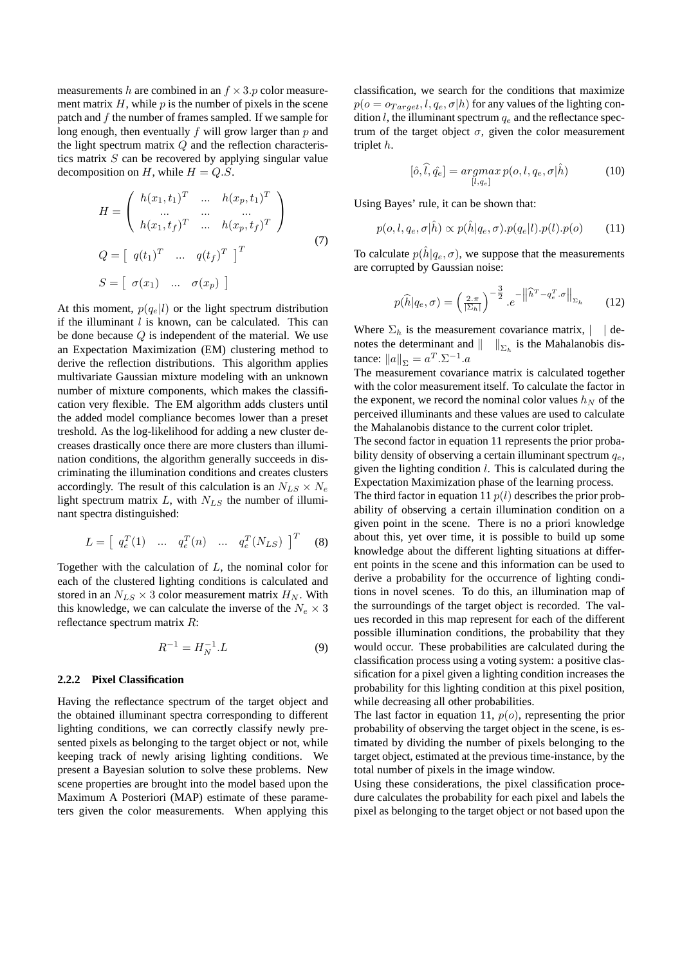measurements h are combined in an  $f \times 3.p$  color measurement matrix  $H$ , while  $p$  is the number of pixels in the scene patch and  $f$  the number of frames sampled. If we sample for long enough, then eventually  $f$  will grow larger than  $p$  and the light spectrum matrix  $Q$  and the reflection characteristics matrix  $S$  can be recovered by applying singular value decomposition on H, while  $H = Q.S$ .

$$
H = \begin{pmatrix} h(x_1, t_1)^T & \dots & h(x_p, t_1)^T \\ \dots & \dots & \dots & \dots \\ h(x_1, t_f)^T & \dots & h(x_p, t_f)^T \end{pmatrix}
$$
  
\n
$$
Q = \begin{bmatrix} q(t_1)^T & \dots & q(t_f)^T \end{bmatrix}^T
$$
  
\n
$$
S = \begin{bmatrix} \sigma(x_1) & \dots & \sigma(x_p) \end{bmatrix}
$$
 (7)

At this moment,  $p(q_e|l)$  or the light spectrum distribution if the illuminant  $l$  is known, can be calculated. This can be done because  $Q$  is independent of the material. We use an Expectation Maximization (EM) clustering method to derive the reflection distributions. This algorithm applies multivariate Gaussian mixture modeling with an unknown number of mixture components, which makes the classification very flexible. The EM algorithm adds clusters until the added model compliance becomes lower than a preset treshold. As the log-likelihood for adding a new cluster decreases drastically once there are more clusters than illumination conditions, the algorithm generally succeeds in discriminating the illumination conditions and creates clusters accordingly. The result of this calculation is an  $N_{LS} \times N_e$ light spectrum matrix  $L$ , with  $N_{LS}$  the number of illuminant spectra distinguished:

$$
L = \left[ \begin{array}{cccc} q_e^T(1) & \dots & q_e^T(n) & \dots & q_e^T(N_{LS}) \end{array} \right]^T \tag{8}
$$

Together with the calculation of L, the nominal color for each of the clustered lighting conditions is calculated and stored in an  $N_{LS} \times 3$  color measurement matrix  $H_N$ . With this knowledge, we can calculate the inverse of the  $N_e \times 3$ reflectance spectrum matrix R:

$$
R^{-1} = H_N^{-1} . L \tag{9}
$$

#### **2.2.2 Pixel Classification**

Having the reflectance spectrum of the target object and the obtained illuminant spectra corresponding to different lighting conditions, we can correctly classify newly presented pixels as belonging to the target object or not, while keeping track of newly arising lighting conditions. We present a Bayesian solution to solve these problems. New scene properties are brought into the model based upon the Maximum A Posteriori (MAP) estimate of these parameters given the color measurements. When applying this classification, we search for the conditions that maximize  $p(o = o_{Target}, l, q_e, \sigma | h)$  for any values of the lighting condition  $l$ , the illuminant spectrum  $q_e$  and the reflectance spectrum of the target object  $\sigma$ , given the color measurement triplet h.

$$
[\hat{o}, \hat{l}, \hat{q}_e] = \operatorname*{argmax}_{[l, q_e]} p(o, l, q_e, \sigma | \hat{h})
$$
\n(10)

Using Bayes' rule, it can be shown that:

$$
p(o, l, q_e, \sigma | \hat{h}) \propto p(\hat{h} | q_e, \sigma).p(q_e | l).p(l).p(o) \qquad (11)
$$

To calculate  $p(h|q_e, \sigma)$ , we suppose that the measurements are corrupted by Gaussian noise:

$$
p(\widehat{h}|q_e,\sigma) = \left(\frac{2\pi}{|\Sigma_h|}\right)^{-\frac{3}{2}}.e^{-\left\|\widehat{h}^T - q_e^T.\sigma\right\|_{\Sigma_h}}
$$
 (12)

Where  $\Sigma_h$  is the measurement covariance matrix,  $\vert \cdot \vert$  denotes the determinant and  $\|\cdot\|_{\Sigma_h}$  is the Mahalanobis distance:  $||a||_{\Sigma} = a^T . \Sigma^{-1} . a$ 

The measurement covariance matrix is calculated together with the color measurement itself. To calculate the factor in the exponent, we record the nominal color values  $h_N$  of the perceived illuminants and these values are used to calculate the Mahalanobis distance to the current color triplet.

The second factor in equation 11 represents the prior probability density of observing a certain illuminant spectrum  $q_e$ , given the lighting condition  $l$ . This is calculated during the Expectation Maximization phase of the learning process.

The third factor in equation 11  $p(l)$  describes the prior probability of observing a certain illumination condition on a given point in the scene. There is no a priori knowledge about this, yet over time, it is possible to build up some knowledge about the different lighting situations at different points in the scene and this information can be used to derive a probability for the occurrence of lighting conditions in novel scenes. To do this, an illumination map of the surroundings of the target object is recorded. The values recorded in this map represent for each of the different possible illumination conditions, the probability that they would occur. These probabilities are calculated during the classification process using a voting system: a positive classification for a pixel given a lighting condition increases the probability for this lighting condition at this pixel position, while decreasing all other probabilities.

The last factor in equation 11,  $p(o)$ , representing the prior probability of observing the target object in the scene, is estimated by dividing the number of pixels belonging to the target object, estimated at the previous time-instance, by the total number of pixels in the image window.

Using these considerations, the pixel classification procedure calculates the probability for each pixel and labels the pixel as belonging to the target object or not based upon the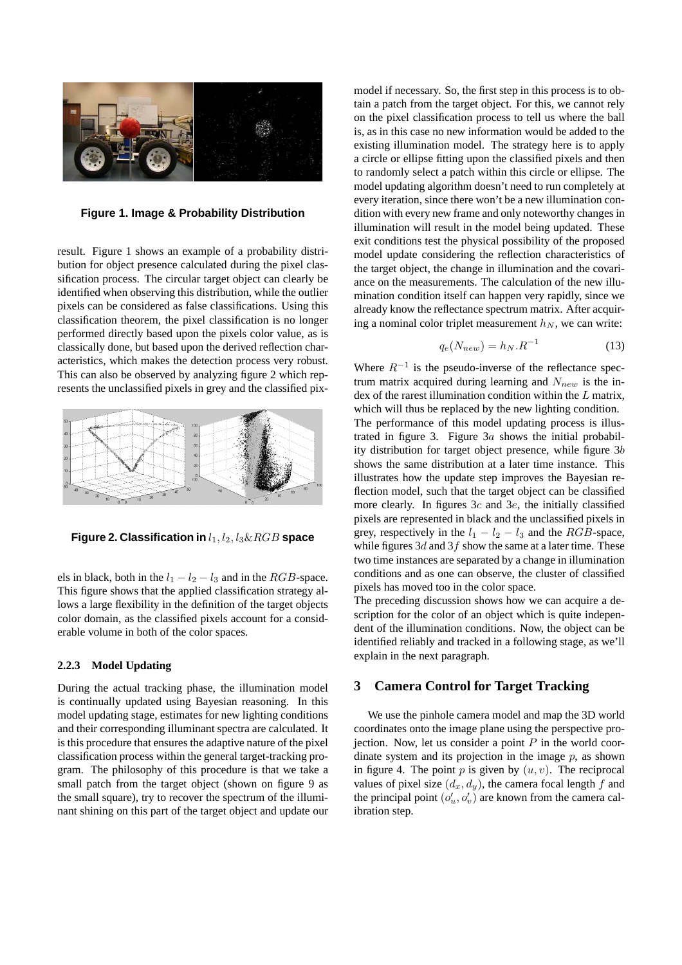

**Figure 1. Image & Probability Distribution**

result. Figure 1 shows an example of a probability distribution for object presence calculated during the pixel classification process. The circular target object can clearly be identified when observing this distribution, while the outlier pixels can be considered as false classifications. Using this classification theorem, the pixel classification is no longer performed directly based upon the pixels color value, as is classically done, but based upon the derived reflection characteristics, which makes the detection process very robust. This can also be observed by analyzing figure 2 which represents the unclassified pixels in grey and the classified pix-



**Figure 2. Classification in**  $l_1$ ,  $l_2$ ,  $l_3 \& RGB$  **space** 

els in black, both in the  $l_1 - l_2 - l_3$  and in the RGB-space. This figure shows that the applied classification strategy allows a large flexibility in the definition of the target objects color domain, as the classified pixels account for a considerable volume in both of the color spaces.

### **2.2.3 Model Updating**

During the actual tracking phase, the illumination model is continually updated using Bayesian reasoning. In this model updating stage, estimates for new lighting conditions and their corresponding illuminant spectra are calculated. It is this procedure that ensures the adaptive nature of the pixel classification process within the general target-tracking program. The philosophy of this procedure is that we take a small patch from the target object (shown on figure 9 as the small square), try to recover the spectrum of the illuminant shining on this part of the target object and update our model if necessary. So, the first step in this process is to obtain a patch from the target object. For this, we cannot rely on the pixel classification process to tell us where the ball is, as in this case no new information would be added to the existing illumination model. The strategy here is to apply a circle or ellipse fitting upon the classified pixels and then to randomly select a patch within this circle or ellipse. The model updating algorithm doesn't need to run completely at every iteration, since there won't be a new illumination condition with every new frame and only noteworthy changes in illumination will result in the model being updated. These exit conditions test the physical possibility of the proposed model update considering the reflection characteristics of the target object, the change in illumination and the covariance on the measurements. The calculation of the new illumination condition itself can happen very rapidly, since we already know the reflectance spectrum matrix. After acquiring a nominal color triplet measurement  $h_N$ , we can write:

$$
q_e(N_{new}) = h_N.R^{-1} \tag{13}
$$

Where  $R^{-1}$  is the pseudo-inverse of the reflectance spectrum matrix acquired during learning and  $N_{new}$  is the index of the rarest illumination condition within the L matrix, which will thus be replaced by the new lighting condition. The performance of this model updating process is illustrated in figure 3. Figure  $3a$  shows the initial probability distribution for target object presence, while figure  $3b$ shows the same distribution at a later time instance. This illustrates how the update step improves the Bayesian reflection model, such that the target object can be classified more clearly. In figures  $3c$  and  $3e$ , the initially classified pixels are represented in black and the unclassified pixels in grey, respectively in the  $l_1 - l_2 - l_3$  and the RGB-space, while figures  $3d$  and  $3f$  show the same at a later time. These two time instances are separated by a change in illumination conditions and as one can observe, the cluster of classified pixels has moved too in the color space.

The preceding discussion shows how we can acquire a description for the color of an object which is quite independent of the illumination conditions. Now, the object can be identified reliably and tracked in a following stage, as we'll explain in the next paragraph.

## **3 Camera Control for Target Tracking**

We use the pinhole camera model and map the 3D world coordinates onto the image plane using the perspective projection. Now, let us consider a point  $P$  in the world coordinate system and its projection in the image  $p$ , as shown in figure 4. The point  $p$  is given by  $(u, v)$ . The reciprocal values of pixel size  $(d_x, d_y)$ , the camera focal length f and the principal point  $(o'_u, o'_v)$  are known from the camera calibration step.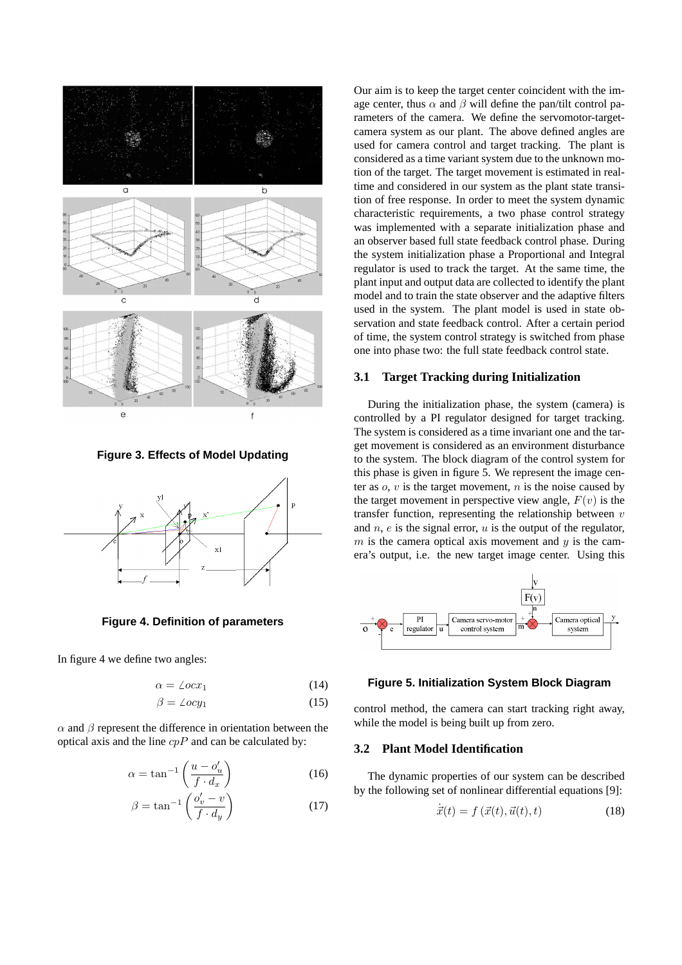

**Figure 3. Effects of Model Updating**



**Figure 4. Definition of parameters**

In figure 4 we define two angles:

$$
\alpha = \angle ocx_1 \tag{14}
$$

$$
\beta = \angle ocy_1 \tag{15}
$$

 $\alpha$  and  $\beta$  represent the difference in orientation between the optical axis and the line  $cpP$  and can be calculated by:

$$
\alpha = \tan^{-1}\left(\frac{u - o'_u}{f \cdot d_x}\right) \tag{16}
$$

$$
\beta = \tan^{-1}\left(\frac{o'_v - v}{f \cdot d_y}\right) \tag{17}
$$

Our aim is to keep the target center coincident with the image center, thus  $\alpha$  and  $\beta$  will define the pan/tilt control parameters of the camera. We define the servomotor-targetcamera system as our plant. The above defined angles are used for camera control and target tracking. The plant is considered as a time variant system due to the unknown motion of the target. The target movement is estimated in realtime and considered in our system as the plant state transition of free response. In order to meet the system dynamic characteristic requirements, a two phase control strategy was implemented with a separate initialization phase and an observer based full state feedback control phase. During the system initialization phase a Proportional and Integral regulator is used to track the target. At the same time, the plant input and output data are collected to identify the plant model and to train the state observer and the adaptive filters used in the system. The plant model is used in state observation and state feedback control. After a certain period of time, the system control strategy is switched from phase one into phase two: the full state feedback control state.

### **3.1 Target Tracking during Initialization**

During the initialization phase, the system (camera) is controlled by a PI regulator designed for target tracking. The system is considered as a time invariant one and the target movement is considered as an environment disturbance to the system. The block diagram of the control system for this phase is given in figure 5. We represent the image center as  $o$ ,  $v$  is the target movement,  $n$  is the noise caused by the target movement in perspective view angle,  $F(v)$  is the transfer function, representing the relationship between  $v$ and  $n$ ,  $e$  is the signal error,  $u$  is the output of the regulator, m is the camera optical axis movement and  $y$  is the camera's output, i.e. the new target image center. Using this



## **Figure 5. Initialization System Block Diagram**

control method, the camera can start tracking right away, while the model is being built up from zero.

### **3.2 Plant Model Identification**

The dynamic properties of our system can be described by the following set of nonlinear differential equations [9]:

$$
\dot{\vec{x}}(t) = f\left(\vec{x}(t), \vec{u}(t), t\right) \tag{18}
$$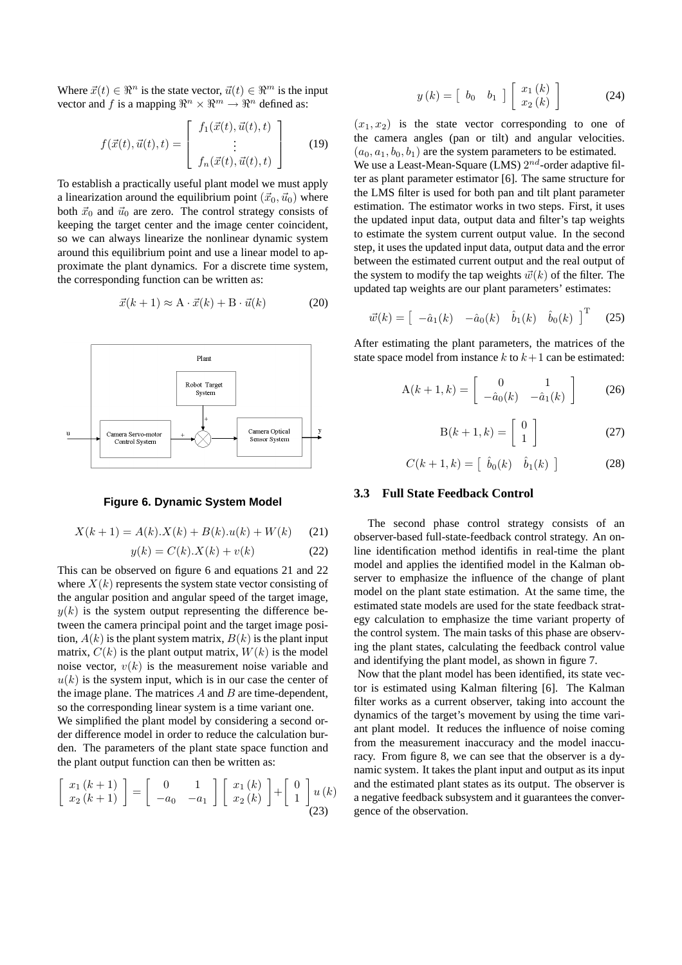Where  $\vec{x}(t) \in \mathbb{R}^n$  is the state vector,  $\vec{u}(t) \in \mathbb{R}^m$  is the input vector and f is a mapping  $\mathbb{R}^n \times \mathbb{R}^m \to \mathbb{R}^n$  defined as:

$$
f(\vec{x}(t),\vec{u}(t),t) = \begin{bmatrix} f_1(\vec{x}(t),\vec{u}(t),t) \\ \vdots \\ f_n(\vec{x}(t),\vec{u}(t),t) \end{bmatrix}
$$
(19)

To establish a practically useful plant model we must apply a linearization around the equilibrium point  $({\vec{x}}_0, {\vec{u}}_0)$  where both  $\vec{x}_0$  and  $\vec{u}_0$  are zero. The control strategy consists of keeping the target center and the image center coincident, so we can always linearize the nonlinear dynamic system around this equilibrium point and use a linear model to approximate the plant dynamics. For a discrete time system, the corresponding function can be written as:

$$
\vec{x}(k+1) \approx \mathbf{A} \cdot \vec{x}(k) + \mathbf{B} \cdot \vec{u}(k) \tag{20}
$$



## **Figure 6. Dynamic System Model**

$$
X(k+1) = A(k) \cdot X(k) + B(k) \cdot u(k) + W(k) \tag{21}
$$

$$
y(k) = C(k) \cdot X(k) + v(k)
$$
 (22)

This can be observed on figure 6 and equations 21 and 22 where  $X(k)$  represents the system state vector consisting of the angular position and angular speed of the target image,  $y(k)$  is the system output representing the difference between the camera principal point and the target image position,  $A(k)$  is the plant system matrix,  $B(k)$  is the plant input matrix,  $C(k)$  is the plant output matrix,  $W(k)$  is the model noise vector,  $v(k)$  is the measurement noise variable and  $u(k)$  is the system input, which is in our case the center of the image plane. The matrices  $A$  and  $B$  are time-dependent, so the corresponding linear system is a time variant one. We simplified the plant model by considering a second order difference model in order to reduce the calculation burden. The parameters of the plant state space function and the plant output function can then be written as:

$$
\begin{bmatrix} x_1(k+1) \\ x_2(k+1) \end{bmatrix} = \begin{bmatrix} 0 & 1 \\ -a_0 & -a_1 \end{bmatrix} \begin{bmatrix} x_1(k) \\ x_2(k) \end{bmatrix} + \begin{bmatrix} 0 \\ 1 \end{bmatrix} u(k)
$$
\n(23)

$$
y(k) = \left[\begin{array}{cc} b_0 & b_1 \end{array}\right] \left[\begin{array}{c} x_1(k) \\ x_2(k) \end{array}\right] \tag{24}
$$

 $(x_1, x_2)$  is the state vector corresponding to one of the camera angles (pan or tilt) and angular velocities.  $(a_0, a_1, b_0, b_1)$  are the system parameters to be estimated.

We use a Least-Mean-Square (LMS)  $2^{nd}$ -order adaptive filter as plant parameter estimator [6]. The same structure for the LMS filter is used for both pan and tilt plant parameter estimation. The estimator works in two steps. First, it uses the updated input data, output data and filter's tap weights to estimate the system current output value. In the second step, it uses the updated input data, output data and the error between the estimated current output and the real output of the system to modify the tap weights  $\vec{w}(k)$  of the filter. The updated tap weights are our plant parameters' estimates:

$$
\vec{w}(k) = \begin{bmatrix} -\hat{a}_1(k) & -\hat{a}_0(k) & \hat{b}_1(k) & \hat{b}_0(k) \end{bmatrix}^{\mathrm{T}} \quad (25)
$$

After estimating the plant parameters, the matrices of the state space model from instance  $k$  to  $k+1$  can be estimated:

$$
\mathbf{A}(k+1,k) = \begin{bmatrix} 0 & 1 \\ -\hat{a}_0(k) & -\hat{a}_1(k) \end{bmatrix}
$$
 (26)

$$
B(k+1,k) = \left[\begin{array}{c} 0\\1 \end{array}\right]
$$
 (27)

$$
C(k+1,k) = \begin{bmatrix} \hat{b}_0(k) & \hat{b}_1(k) \end{bmatrix}
$$
 (28)

## **3.3 Full State Feedback Control**

The second phase control strategy consists of an observer-based full-state-feedback control strategy. An online identification method identifis in real-time the plant model and applies the identified model in the Kalman observer to emphasize the influence of the change of plant model on the plant state estimation. At the same time, the estimated state models are used for the state feedback strategy calculation to emphasize the time variant property of the control system. The main tasks of this phase are observing the plant states, calculating the feedback control value and identifying the plant model, as shown in figure 7.

Now that the plant model has been identified, its state vector is estimated using Kalman filtering [6]. The Kalman filter works as a current observer, taking into account the dynamics of the target's movement by using the time variant plant model. It reduces the influence of noise coming from the measurement inaccuracy and the model inaccuracy. From figure 8, we can see that the observer is a dynamic system. It takes the plant input and output as its input and the estimated plant states as its output. The observer is a negative feedback subsystem and it guarantees the convergence of the observation.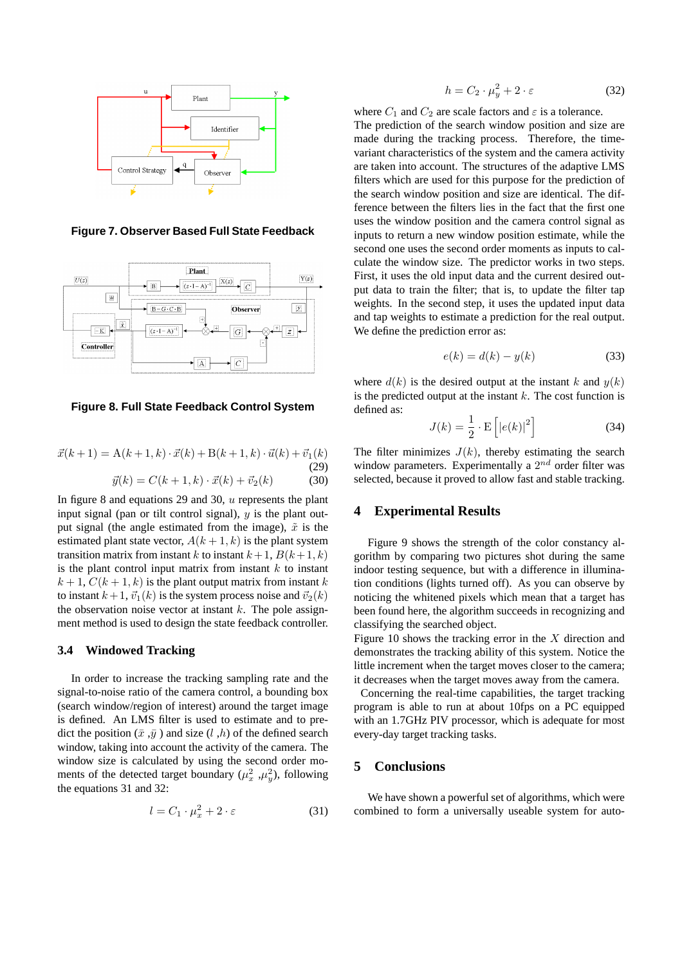

**Figure 7. Observer Based Full State Feedback**



**Figure 8. Full State Feedback Control System**

$$
\vec{x}(k+1) = A(k+1,k) \cdot \vec{x}(k) + B(k+1,k) \cdot \vec{u}(k) + \vec{v}_1(k)
$$
\n(29)\n
$$
\vec{y}(k) = C(k+1,k) \cdot \vec{x}(k) + \vec{v}_2(k)
$$
\n(30)

In figure 8 and equations 29 and 30,  $u$  represents the plant input signal (pan or tilt control signal),  $y$  is the plant output signal (the angle estimated from the image),  $\tilde{x}$  is the estimated plant state vector,  $A(k+1, k)$  is the plant system transition matrix from instant k to instant  $k+1$ ,  $B(k+1, k)$ is the plant control input matrix from instant  $k$  to instant  $k + 1$ ,  $C(k + 1, k)$  is the plant output matrix from instant k to instant  $k + 1$ ,  $\vec{v}_1(k)$  is the system process noise and  $\vec{v}_2(k)$ the observation noise vector at instant  $k$ . The pole assignment method is used to design the state feedback controller.

#### **3.4 Windowed Tracking**

In order to increase the tracking sampling rate and the signal-to-noise ratio of the camera control, a bounding box (search window/region of interest) around the target image is defined. An LMS filter is used to estimate and to predict the position  $(\bar{x}, \bar{y})$  and size  $(l, h)$  of the defined search window, taking into account the activity of the camera. The window size is calculated by using the second order moments of the detected target boundary  $(\mu_x^2, \mu_y^2)$ , following the equations 31 and 32:

$$
l = C_1 \cdot \mu_x^2 + 2 \cdot \varepsilon \tag{31}
$$

$$
h = C_2 \cdot \mu_y^2 + 2 \cdot \varepsilon \tag{32}
$$

where  $C_1$  and  $C_2$  are scale factors and  $\varepsilon$  is a tolerance. The prediction of the search window position and size are made during the tracking process. Therefore, the timevariant characteristics of the system and the camera activity are taken into account. The structures of the adaptive LMS filters which are used for this purpose for the prediction of the search window position and size are identical. The difference between the filters lies in the fact that the first one uses the window position and the camera control signal as inputs to return a new window position estimate, while the second one uses the second order moments as inputs to calculate the window size. The predictor works in two steps. First, it uses the old input data and the current desired output data to train the filter; that is, to update the filter tap weights. In the second step, it uses the updated input data and tap weights to estimate a prediction for the real output. We define the prediction error as:

$$
e(k) = d(k) - y(k)
$$
\n(33)

where  $d(k)$  is the desired output at the instant k and  $y(k)$ is the predicted output at the instant  $k$ . The cost function is defined as:

$$
J(k) = \frac{1}{2} \cdot \mathbf{E}\left[|e(k)|^2\right] \tag{34}
$$

The filter minimizes  $J(k)$ , thereby estimating the search window parameters. Experimentally a  $2^{nd}$  order filter was selected, because it proved to allow fast and stable tracking.

## **4 Experimental Results**

Figure 9 shows the strength of the color constancy algorithm by comparing two pictures shot during the same indoor testing sequence, but with a difference in illumination conditions (lights turned off). As you can observe by noticing the whitened pixels which mean that a target has been found here, the algorithm succeeds in recognizing and classifying the searched object.

Figure 10 shows the tracking error in the  $X$  direction and demonstrates the tracking ability of this system. Notice the little increment when the target moves closer to the camera; it decreases when the target moves away from the camera.

Concerning the real-time capabilities, the target tracking program is able to run at about 10fps on a PC equipped with an 1.7GHz PIV processor, which is adequate for most every-day target tracking tasks.

## **5 Conclusions**

We have shown a powerful set of algorithms, which were combined to form a universally useable system for auto-